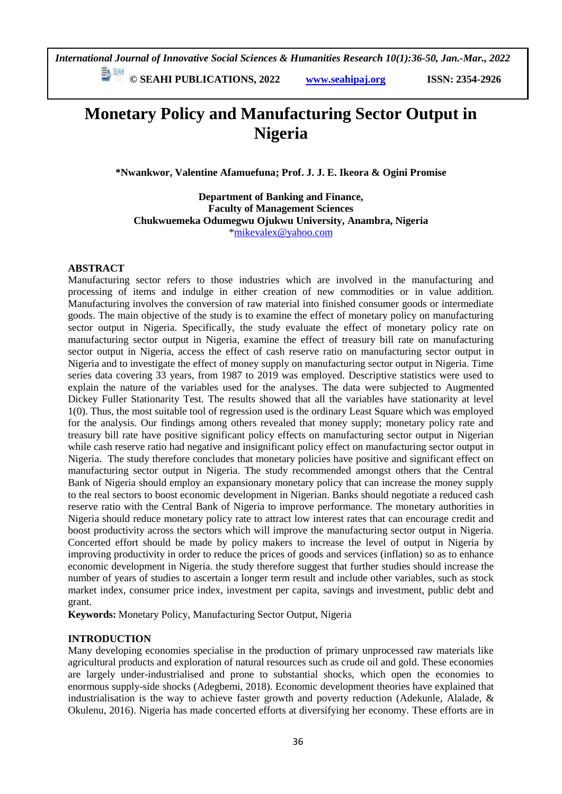*International Journal of Innovative Social Sciences & Humanities Research 10(1):36-50, Jan.-Mar., 2022*

 **© SEAHI PUBLICATIONS, 2022 [www.seahipaj.org](http://www.seahipaj.org/) ISSN: 2354-2926** 

# **Monetary Policy and Manufacturing Sector Output in Nigeria**

**\*Nwankwor, Valentine Afamuefuna; Prof. J. J. E. Ikeora & Ogini Promise**

**Department of Banking and Finance, Faculty of Management Sciences Chukwuemeka Odumegwu Ojukwu University, Anambra, Nigeria** [\\*mikevalex@yahoo.com](mailto:mikevalex@yahoo.com)

### **ABSTRACT**

Manufacturing sector refers to those industries which are involved in the manufacturing and processing of items and indulge in either creation of new commodities or in value addition. Manufacturing involves the conversion of raw material into finished consumer goods or intermediate goods. The main objective of the study is to examine the effect of monetary policy on manufacturing sector output in Nigeria. Specifically, the study evaluate the effect of monetary policy rate on manufacturing sector output in Nigeria, examine the effect of treasury bill rate on manufacturing sector output in Nigeria, access the effect of cash reserve ratio on manufacturing sector output in Nigeria and to investigate the effect of money supply on manufacturing sector output in Nigeria. Time series data covering 33 years, from 1987 to 2019 was employed. Descriptive statistics were used to explain the nature of the variables used for the analyses. The data were subjected to Augmented Dickey Fuller Stationarity Test. The results showed that all the variables have stationarity at level 1(0). Thus, the most suitable tool of regression used is the ordinary Least Square which was employed for the analysis. Our findings among others revealed that money supply; monetary policy rate and treasury bill rate have positive significant policy effects on manufacturing sector output in Nigerian while cash reserve ratio had negative and insignificant policy effect on manufacturing sector output in Nigeria. The study therefore concludes that monetary policies have positive and significant effect on manufacturing sector output in Nigeria. The study recommended amongst others that the Central Bank of Nigeria should employ an expansionary monetary policy that can increase the money supply to the real sectors to boost economic development in Nigerian. Banks should negotiate a reduced cash reserve ratio with the Central Bank of Nigeria to improve performance. The monetary authorities in Nigeria should reduce monetary policy rate to attract low interest rates that can encourage credit and boost productivity across the sectors which will improve the manufacturing sector output in Nigeria. Concerted effort should be made by policy makers to increase the level of output in Nigeria by improving productivity in order to reduce the prices of goods and services (inflation) so as to enhance economic development in Nigeria. the study therefore suggest that further studies should increase the number of years of studies to ascertain a longer term result and include other variables, such as stock market index, consumer price index, investment per capita, savings and investment, public debt and grant.

**Keywords:** Monetary Policy, Manufacturing Sector Output, Nigeria

### **INTRODUCTION**

Many developing economies specialise in the production of primary unprocessed raw materials like agricultural products and exploration of natural resources such as crude oil and gold. These economies are largely under-industrialised and prone to substantial shocks, which open the economies to enormous supply-side shocks (Adegbemi, 2018). Economic development theories have explained that industrialisation is the way to achieve faster growth and poverty reduction (Adekunle, Alalade, & Okulenu, 2016). Nigeria has made concerted efforts at diversifying her economy. These efforts are in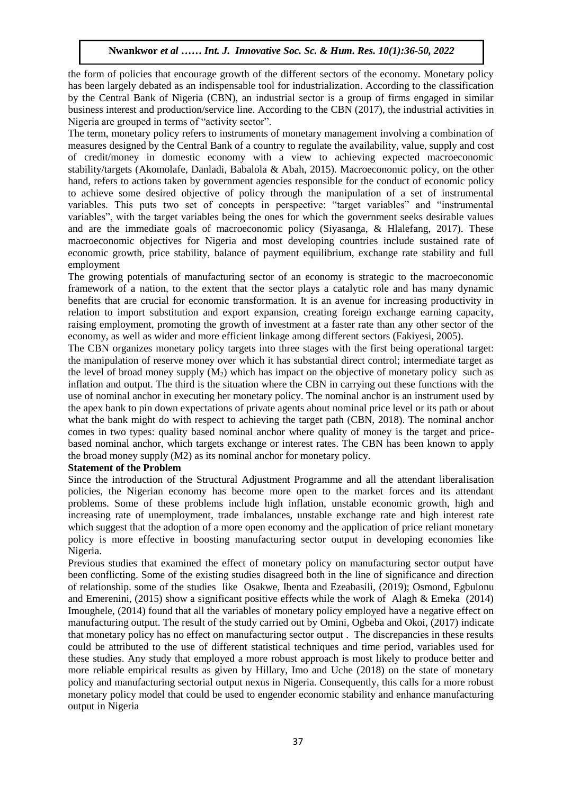the form of policies that encourage growth of the different sectors of the economy. Monetary policy has been largely debated as an indispensable tool for industrialization. According to the classification by the Central Bank of Nigeria (CBN), an industrial sector is a group of firms engaged in similar business interest and production/service line. According to the CBN (2017), the industrial activities in Nigeria are grouped in terms of "activity sector".

Nigeria are grouped in terms of activity sector.<br>The term, monetary policy refers to instruments of monetary management involving a combination of measures designed by the Central Bank of a country to regulate the availability, value, supply and cost measures designed by the central bank of a country to regulate the availability, value, supply and cost of credit/money in domestic economy with a view to achieving expected macroeconomic stability/targets (Akomolafe, Danladi, Babalola & Abah, 2015). Macroeconomic policy, on the other hand, refers to actions taken by government agencies responsible for the conduct of economic policy hand, refers to actions taken by government agencies responsible for the conduct of economic policy to achieve some desired objective of policy through the manipulation of a set of instrumental variables. This puts two set of concepts in perspective: "target variables" and "instrumental variables", with the target variables being the ones for which the government seeks desirable values and are the immediate goals of macroeconomic policy (Siyasanga, & Hlalefang, 2017). These macroeconomic objectives for Nigeria and most developing countries include sustained rate of economic growth, price stability, balance of payment equilibrium, exchange rate stability and full employment

The growing potentials of manufacturing sector of an economy is strategic to the macroeconomic framework of a nation, to the extent that the sector plays a catalytic role and has many dynamic benefits that are crucial for economic transformation. It is an avenue for increasing productivity in relation to import substitution and export expansion, creating foreign exchange earning capacity, raising employment, promoting the growth of investment at a faster rate than any other sector of the economy, as well as wider and more efficient linkage among different sectors (Fakiyesi, 2005).

The CBN organizes monetary policy targets into three stages with the first being operational target: the manipulation of reserve money over which it has substantial direct control; intermediate target as the level of broad money supply  $(M_2)$  which has impact on the objective of monetary policy such as inflation and output. The third is the situation where the CBN in carrying out these functions with the use of nominal anchor in executing her monetary policy. The nominal anchor is an instrument used by the apex bank to pin down expectations of private agents about nominal price level or its path or about what the bank might do with respect to achieving the target path (CBN, 2018). The nominal anchor comes in two types: quality based nominal anchor where quality of money is the target and pricebased nominal anchor, which targets exchange or interest rates. The CBN has been known to apply the broad money supply (M2) as its nominal anchor for monetary policy.

### **Statement of the Problem**

Since the introduction of the Structural Adjustment Programme and all the attendant liberalisation policies, the Nigerian economy has become more open to the market forces and its attendant problems. Some of these problems include high inflation, unstable economic growth, high and increasing rate of unemployment, trade imbalances, unstable exchange rate and high interest rate which suggest that the adoption of a more open economy and the application of price reliant monetary policy is more effective in boosting manufacturing sector output in developing economies like Nigeria.

Previous studies that examined the effect of monetary policy on manufacturing sector output have been conflicting. Some of the existing studies disagreed both in the line of significance and direction of relationship. some of the studies like Osakwe, Ibenta and Ezeabasili, (2019); Osmond, Egbulonu and Emerenini, (2015) show a significant positive effects while the work of Alagh & Emeka (2014) Imoughele, (2014) found that all the variables of monetary policy employed have a negative effect on manufacturing output. The result of the study carried out by Omini, Ogbeba and Okoi, (2017) indicate that monetary policy has no effect on manufacturing sector output . The discrepancies in these results could be attributed to the use of different statistical techniques and time period, variables used for these studies. Any study that employed a more robust approach is most likely to produce better and more reliable empirical results as given by Hillary, Imo and Uche (2018) on the state of monetary policy and manufacturing sectorial output nexus in Nigeria. Consequently, this calls for a more robust monetary policy model that could be used to engender economic stability and enhance manufacturing output in Nigeria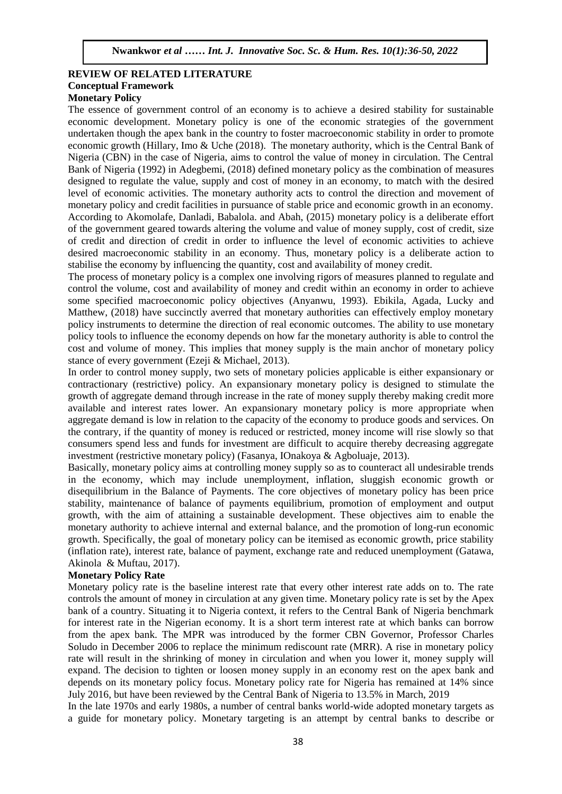### **REVIEW OF RELATED LITERATURE Conceptual Framework**  $\frac{Mcy}{q}$

### **Monetary Policy**

The essence of government control of an economy is to achieve a desired stability for sustainable economic development. Monetary policy is one of the economic strategies of the government undertaken though the apex bank in the country to foster macroeconomic stability in order to promote economic growth (Hillary, Imo & Uche (2018). The monetary authority, which is the Central Bank of economic growth (Timary, this exerce (2010). The monetary additionly, which is the central Bank of Nigeria (CBN) in the case of Nigeria, aims to control the value of money in circulation. The Central Bank of Nigeria (1992) in Adegbemi, (2018) defined monetary policy as the combination of measures designed to regulate the value, supply and cost of money in an economy, to match with the desired designed to regulate the value, supply and cost of money in an economy, to match with the desired level of economic activities. The monetary authority acts to control the direction and movement of monetary policy and credit facilities in pursuance of stable price and economic growth in an economy. According to Akomolafe, Danladi, Babalola. and Abah, (2015) monetary policy is a deliberate effort of the government geared towards altering the volume and value of money supply, cost of credit, size of credit and direction of credit in order to influence the level of economic activities to achieve desired macroeconomic stability in an economy. Thus, monetary policy is a deliberate action to stabilise the economy by influencing the quantity, cost and availability of money credit.

The process of monetary policy is a complex one involving rigors of measures planned to regulate and control the volume, cost and availability of money and credit within an economy in order to achieve some specified macroeconomic policy objectives (Anyanwu, 1993). Ebikila, Agada, Lucky and Matthew, (2018) have succinctly averred that monetary authorities can effectively employ monetary policy instruments to determine the direction of real economic outcomes. The ability to use monetary policy tools to influence the economy depends on how far the monetary authority is able to control the cost and volume of money. This implies that money supply is the main anchor of monetary policy stance of every government (Ezeji & Michael, 2013).

In order to control money supply, two sets of monetary policies applicable is either expansionary or contractionary (restrictive) policy. An expansionary monetary policy is designed to stimulate the growth of aggregate demand through increase in the rate of money supply thereby making credit more available and interest rates lower. An expansionary monetary policy is more appropriate when aggregate demand is low in relation to the capacity of the economy to produce goods and services. On the contrary, if the quantity of money is reduced or restricted, money income will rise slowly so that consumers spend less and funds for investment are difficult to acquire thereby decreasing aggregate investment (restrictive monetary policy) (Fasanya, IOnakoya & Agboluaje, 2013).

Basically, monetary policy aims at controlling money supply so as to counteract all undesirable trends in the economy, which may include unemployment, inflation, sluggish economic growth or disequilibrium in the Balance of Payments. The core objectives of monetary policy has been price stability, maintenance of balance of payments equilibrium, promotion of employment and output growth, with the aim of attaining a sustainable development. These objectives aim to enable the monetary authority to achieve internal and external balance, and the promotion of long-run economic growth. Specifically, the goal of monetary policy can be itemised as economic growth, price stability (inflation rate), interest rate, balance of payment, exchange rate and reduced unemployment (Gatawa, Akinola & Muftau, 2017).

### **Monetary Policy Rate**

Monetary policy rate is the baseline interest rate that every other interest rate adds on to. The rate controls the amount of money in circulation at any given time. Monetary policy rate is set by the Apex bank of a country. Situating it to Nigeria context, it refers to the Central Bank of Nigeria benchmark for interest rate in the Nigerian economy. It is a short term interest rate at which banks can borrow from the apex bank. The MPR was introduced by the former CBN Governor, Professor Charles Soludo in December 2006 to replace the minimum rediscount rate (MRR). A rise in monetary policy rate will result in the shrinking of money in circulation and when you lower it, money supply will expand. The decision to tighten or loosen money supply in an economy rest on the apex bank and depends on its monetary policy focus. Monetary policy rate for Nigeria has remained at 14% since July 2016, but have been reviewed by the Central Bank of Nigeria to 13.5% in March, 2019

In the late 1970s and early 1980s, a number of central banks world-wide adopted monetary targets as a guide for monetary policy. Monetary targeting is an attempt by central banks to describe or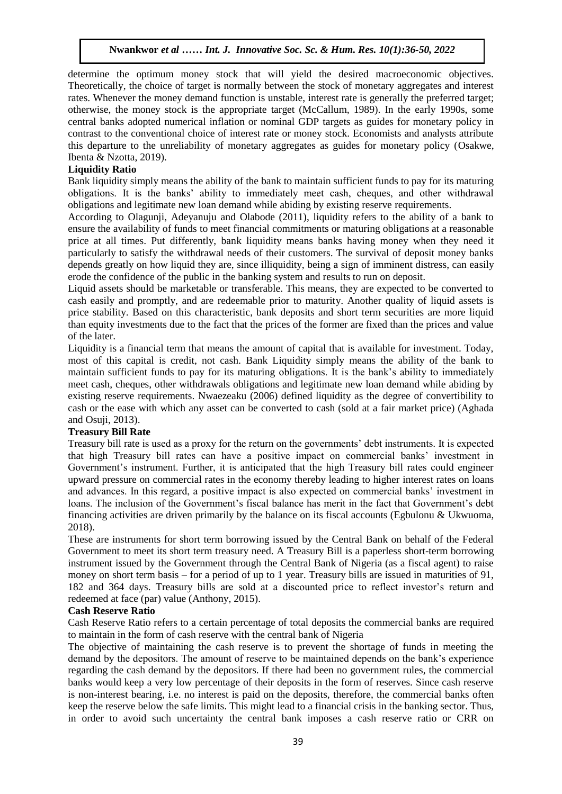determine the optimum money stock that will yield the desired macroeconomic objectives. Theoretically, the choice of target is normally between the stock of monetary aggregates and interest rates. Whenever the money demand function is unstable, interest rate is generally the preferred target; otherwise, the money stock is the appropriate target (McCallum, 1989). In the early 1990s, some central banks adopted numerical inflation or nominal GDP targets as guides for monetary policy in contrast to the conventional choice of interest rate or money stock. Economists and analysts attribute this departure to the unreliability of monetary aggregates as guides for monetary policy (Osakwe, Heatte, 2010). Ibenta & Nzotta, 2019).

### **Liquidity Ratio**

Explantly rative simply means the ability of the bank to maintain sufficient funds to pay for its maturing obligations. It is the banks' ability to immediately meet cash, cheques, and other withdrawal obligations and legitimate new loan demand while abiding by existing reserve requirements.

According to Olagunji, Adeyanuju and Olabode (2011), liquidity refers to the ability of a bank to ensure the availability of funds to meet financial commitments or maturing obligations at a reasonable price at all times. Put differently, bank liquidity means banks having money when they need it particularly to satisfy the withdrawal needs of their customers. The survival of deposit money banks depends greatly on how liquid they are, since illiquidity, being a sign of imminent distress, can easily erode the confidence of the public in the banking system and results to run on deposit.

Liquid assets should be marketable or transferable. This means, they are expected to be converted to cash easily and promptly, and are redeemable prior to maturity. Another quality of liquid assets is price stability. Based on this characteristic, bank deposits and short term securities are more liquid than equity investments due to the fact that the prices of the former are fixed than the prices and value of the later.

Liquidity is a financial term that means the amount of capital that is available for investment. Today, most of this capital is credit, not cash. Bank Liquidity simply means the ability of the bank to maintain sufficient funds to pay for its maturing obligations. It is the bank's ability to immediately meet cash, cheques, other withdrawals obligations and legitimate new loan demand while abiding by existing reserve requirements. Nwaezeaku (2006) defined liquidity as the degree of convertibility to cash or the ease with which any asset can be converted to cash (sold at a fair market price) (Aghada and Osuji, 2013).

### **Treasury Bill Rate**

Treasury bill rate is used as a proxy for the return on the governments' debt instruments. It is expected that high Treasury bill rates can have a positive impact on commercial banks' investment in Government's instrument. Further, it is anticipated that the high Treasury bill rates could engineer upward pressure on commercial rates in the economy thereby leading to higher interest rates on loans and advances. In this regard, a positive impact is also expected on commercial banks' investment in loans. The inclusion of the Government's fiscal balance has merit in the fact that Government's debt financing activities are driven primarily by the balance on its fiscal accounts (Egbulonu & Ukwuoma, 2018).

These are instruments for short term borrowing issued by the Central Bank on behalf of the Federal Government to meet its short term treasury need. A Treasury Bill is a paperless short-term borrowing instrument issued by the Government through the Central Bank of Nigeria (as a fiscal agent) to raise money on short term basis – for a period of up to 1 year. Treasury bills are issued in maturities of 91, 182 and 364 days. Treasury bills are sold at a discounted price to reflect investor's return and redeemed at face (par) value (Anthony, 2015).

### **Cash Reserve Ratio**

Cash Reserve Ratio refers to a certain percentage of total deposits the commercial banks are required to maintain in the form of cash reserve with the central bank of Nigeria

The objective of maintaining the cash reserve is to prevent the shortage of funds in meeting the demand by the depositors. The amount of reserve to be maintained depends on the bank's experience regarding the cash demand by the depositors. If there had been no government rules, the commercial banks would keep a very low percentage of their deposits in the form of reserves. Since cash reserve is non-interest bearing, i.e. no interest is paid on the deposits, therefore, the commercial banks often keep the reserve below the safe limits. This might lead to a financial crisis in the banking sector. Thus, in order to avoid such uncertainty the central bank imposes a cash reserve ratio or CRR on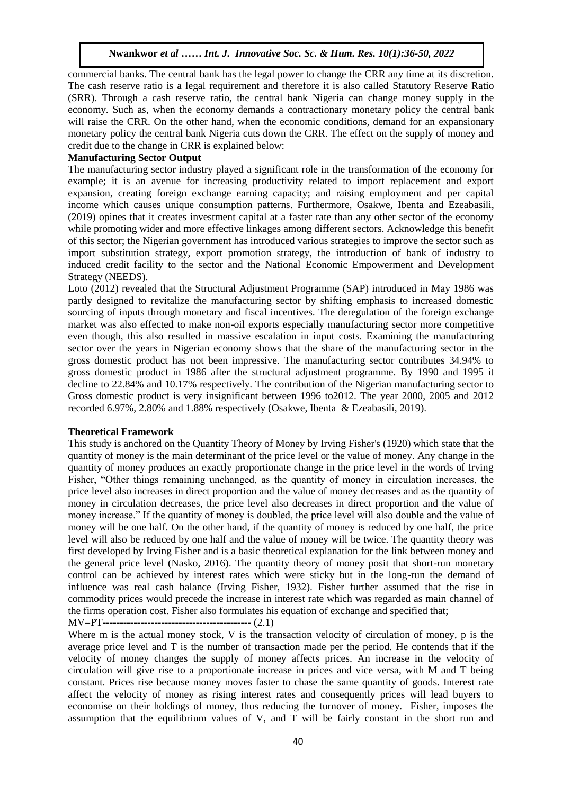commercial banks. The central bank has the legal power to change the CRR any time at its discretion. The cash reserve ratio is a legal requirement and therefore it is also called Statutory Reserve Ratio (SRR). Through a cash reserve ratio, the central bank Nigeria can change money supply in the economy. Such as, when the economy demands a contractionary monetary policy the central bank economy. Such as, when the economy demands a contractionary monetary policy the central bank will raise the CRR. On the other hand, when the economic conditions, demand for an expansionary monetary policy the central bank Nigeria cuts down the CRR. The effect on the supply of money and monetary policy the central bank Nigeria cuts down the CRR. The effect on the supply of money and credit due to the change in CRR is explained below:

# **Manufacturing Sector Output Archaeology 2020**

The manufacturing sector industry played a significant role in the transformation of the economy for example; it is an avenue for increasing productivity related to import replacement and export expansion, creating foreign exchange earning capacity; and raising employment and per capital income which causes unique consumption patterns. Furthermore, Osakwe, Ibenta and Ezeabasili, (2019) opines that it creates investment capital at a faster rate than any other sector of the economy while promoting wider and more effective linkages among different sectors. Acknowledge this benefit of this sector; the Nigerian government has introduced various strategies to improve the sector such as import substitution strategy, export promotion strategy, the introduction of bank of industry to induced credit facility to the sector and the National Economic Empowerment and Development Strategy (NEEDS).

Loto (2012) revealed that the Structural Adjustment Programme (SAP) introduced in May 1986 was partly designed to revitalize the manufacturing sector by shifting emphasis to increased domestic sourcing of inputs through monetary and fiscal incentives. The deregulation of the foreign exchange market was also effected to make non-oil exports especially manufacturing sector more competitive even though, this also resulted in massive escalation in input costs. Examining the manufacturing sector over the years in Nigerian economy shows that the share of the manufacturing sector in the gross domestic product has not been impressive. The manufacturing sector contributes 34.94% to gross domestic product in 1986 after the structural adjustment programme. By 1990 and 1995 it decline to 22.84% and 10.17% respectively. The contribution of the Nigerian manufacturing sector to Gross domestic product is very insignificant between 1996 to2012. The year 2000, 2005 and 2012 recorded 6.97%, 2.80% and 1.88% respectively (Osakwe, Ibenta & Ezeabasili, 2019).

### **Theoretical Framework**

This study is anchored on the Quantity Theory of Money by Irving Fisher's (1920) which state that the quantity of money is the main determinant of the price level or the value of money. Any change in the quantity of money produces an exactly proportionate change in the price level in the words of Irving Fisher, "Other things remaining unchanged, as the quantity of money in circulation increases, the price level also increases in direct proportion and the value of money decreases and as the quantity of money in circulation decreases, the price level also decreases in direct proportion and the value of money increase." If the quantity of money is doubled, the price level will also double and the value of money will be one half. On the other hand, if the quantity of money is reduced by one half, the price level will also be reduced by one half and the value of money will be twice. The quantity theory was first developed by Irving Fisher and is a basic theoretical explanation for the link between money and the general price level (Nasko, 2016). The quantity theory of money posit that short-run monetary control can be achieved by interest rates which were sticky but in the long-run the demand of influence was real cash balance (Irving Fisher, 1932). Fisher further assumed that the rise in commodity prices would precede the increase in interest rate which was regarded as main channel of the firms operation cost. Fisher also formulates his equation of exchange and specified that;

MV=PT------------------------------------------- (2.1)

Where m is the actual money stock, V is the transaction velocity of circulation of money, p is the average price level and T is the number of transaction made per the period. He contends that if the velocity of money changes the supply of money affects prices. An increase in the velocity of circulation will give rise to a proportionate increase in prices and vice versa, with M and T being constant. Prices rise because money moves faster to chase the same quantity of goods. Interest rate affect the velocity of money as rising interest rates and consequently prices will lead buyers to economise on their holdings of money, thus reducing the turnover of money. Fisher, imposes the assumption that the equilibrium values of V, and T will be fairly constant in the short run and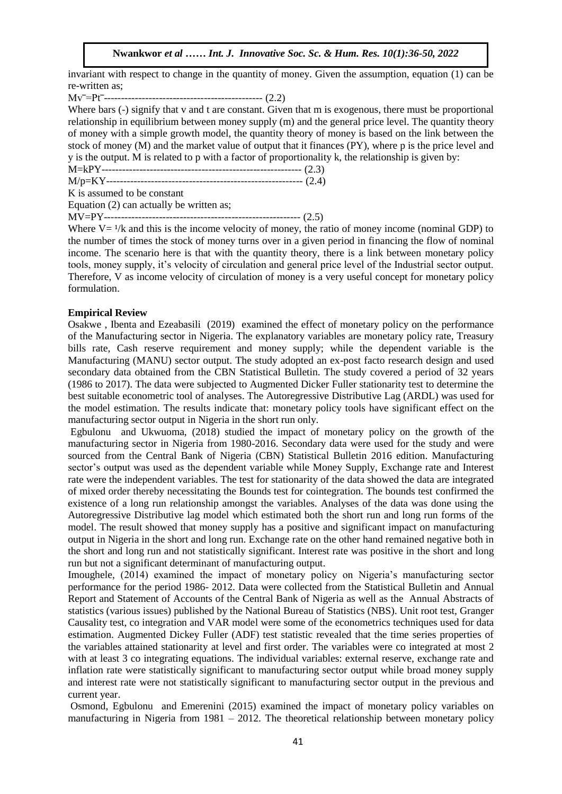invariant with respect to change in the quantity of money. Given the assumption, equation  $(1)$  can be re-written as;

Mv‾=Pt‾---------------------------------------------- (2.2)

Where bars (-) signify that v and t are constant. Given that m is exogenous, there must be proportional  $\sum_{i=1}^{N}$ relationship in equilibrium between money supply (m) and the general price level. The quantity theory of money with a simple growth model, the quantity theory of money is based on the link between the stock of money ( $M$ ) and the market value of output that it finances  $(PY)$ , where p is the price level and y is the output. M is related to p with a factor of proportionality k, the relationship is given by:

M=kPY---------------------------------------------------------- (2.3)

M/p=KY--------------------------------------------------------- (2.4) Arugu & Wosu …… Int. J. Innovative Soc. Sc. & Hum. Res. 8(1):1-11, 2020

K is assumed to be constant

Equation  $(2)$  can actually be written as;

MV=PY--------------------------------------------------------- (2.5)

Where  $V = \frac{1}{k}$  and this is the income velocity of money, the ratio of money income (nominal GDP) to the number of times the stock of money turns over in a given period in financing the flow of nominal income. The scenario here is that with the quantity theory, there is a link between monetary policy tools, money supply, it's velocity of circulation and general price level of the Industrial sector output. Therefore, V as income velocity of circulation of money is a very useful concept for monetary policy formulation.

### **Empirical Review**

Osakwe , Ibenta and Ezeabasili (2019) examined the effect of monetary policy on the performance of the Manufacturing sector in Nigeria. The explanatory variables are monetary policy rate, Treasury bills rate, Cash reserve requirement and money supply; while the dependent variable is the Manufacturing (MANU) sector output. The study adopted an ex-post facto research design and used secondary data obtained from the CBN Statistical Bulletin. The study covered a period of 32 years (1986 to 2017). The data were subjected to Augmented Dicker Fuller stationarity test to determine the best suitable econometric tool of analyses. The Autoregressive Distributive Lag (ARDL) was used for the model estimation. The results indicate that: monetary policy tools have significant effect on the manufacturing sector output in Nigeria in the short run only.

Egbulonu and Ukwuoma, (2018) studied the impact of monetary policy on the growth of the manufacturing sector in Nigeria from 1980-2016. Secondary data were used for the study and were sourced from the Central Bank of Nigeria (CBN) Statistical Bulletin 2016 edition. Manufacturing sector's output was used as the dependent variable while Money Supply, Exchange rate and Interest rate were the independent variables. The test for stationarity of the data showed the data are integrated of mixed order thereby necessitating the Bounds test for cointegration. The bounds test confirmed the existence of a long run relationship amongst the variables. Analyses of the data was done using the Autoregressive Distributive lag model which estimated both the short run and long run forms of the model. The result showed that money supply has a positive and significant impact on manufacturing output in Nigeria in the short and long run. Exchange rate on the other hand remained negative both in the short and long run and not statistically significant. Interest rate was positive in the short and long run but not a significant determinant of manufacturing output.

Imoughele, (2014) examined the impact of monetary policy on Nigeria's manufacturing sector performance for the period 1986- 2012. Data were collected from the Statistical Bulletin and Annual Report and Statement of Accounts of the Central Bank of Nigeria as well as the Annual Abstracts of statistics (various issues) published by the National Bureau of Statistics (NBS). Unit root test, Granger Causality test, co integration and VAR model were some of the econometrics techniques used for data estimation. Augmented Dickey Fuller (ADF) test statistic revealed that the time series properties of the variables attained stationarity at level and first order. The variables were co integrated at most 2 with at least 3 co integrating equations. The individual variables: external reserve, exchange rate and inflation rate were statistically significant to manufacturing sector output while broad money supply and interest rate were not statistically significant to manufacturing sector output in the previous and current year.

Osmond, Egbulonu and Emerenini (2015) examined the impact of monetary policy variables on manufacturing in Nigeria from 1981 – 2012. The theoretical relationship between monetary policy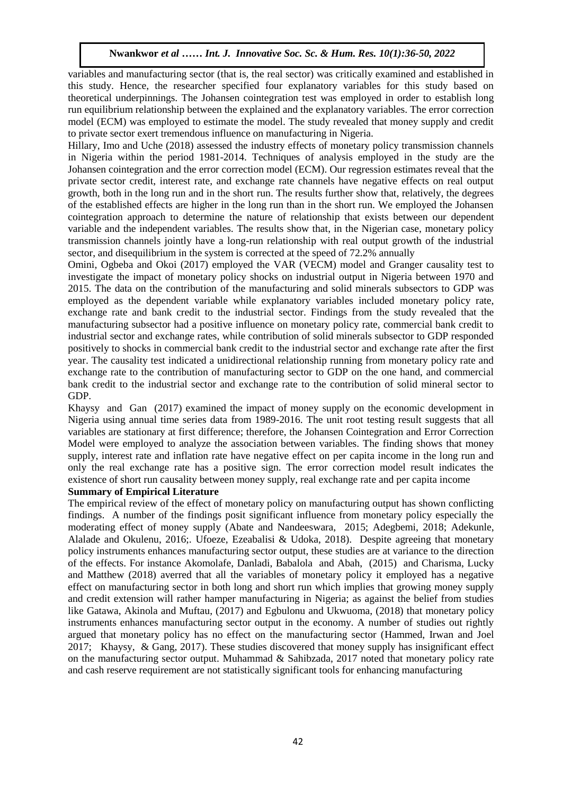variables and manufacturing sector (that is, the real sector) was critically examined and established in this study. Hence, the researcher specified four explanatory variables for this study based on theoretical underpinnings. The Johansen cointegration test was employed in order to establish long run equilibrium relationship between the explained and the explanatory variables. The error correction run equilibrium relationship between the explained and the explanatory variables. The error correction model (ECM) was employed to estimate the model. The study revealed that money supply and credit to private sector exert tremendous influence on manufacturing in Nigeria.

Hillary, Imo and Uche (2018) assessed the industry effects of monetary policy transmission channels in Nigeria within the period 1981-2014. Techniques of analysis employed in the study are the Johansen cointegration and the error correction model (ECM). Our regression estimates reveal that the private sector credit, interest rate, and exchange rate channels have negative effects on real output growth, both in the long run and in the short run. The results further show that, relatively, the degrees of the established effects are higher in the long run than in the short run. We employed the Johansen cointegration approach to determine the nature of relationship that exists between our dependent variable and the independent variables. The results show that, in the Nigerian case, monetary policy transmission channels jointly have a long-run relationship with real output growth of the industrial sector, and disequilibrium in the system is corrected at the speed of 72.2% annually

Omini, Ogbeba and Okoi (2017) employed the VAR (VECM) model and Granger causality test to investigate the impact of monetary policy shocks on industrial output in Nigeria between 1970 and 2015. The data on the contribution of the manufacturing and solid minerals subsectors to GDP was employed as the dependent variable while explanatory variables included monetary policy rate, exchange rate and bank credit to the industrial sector. Findings from the study revealed that the manufacturing subsector had a positive influence on monetary policy rate, commercial bank credit to industrial sector and exchange rates, while contribution of solid minerals subsector to GDP responded positively to shocks in commercial bank credit to the industrial sector and exchange rate after the first year. The causality test indicated a unidirectional relationship running from monetary policy rate and exchange rate to the contribution of manufacturing sector to GDP on the one hand, and commercial bank credit to the industrial sector and exchange rate to the contribution of solid mineral sector to GDP.

Khaysy and Gan (2017) examined the impact of money supply on the economic development in Nigeria using annual time series data from 1989-2016. The unit root testing result suggests that all variables are stationary at first difference; therefore, the Johansen Cointegration and Error Correction Model were employed to analyze the association between variables. The finding shows that money supply, interest rate and inflation rate have negative effect on per capita income in the long run and only the real exchange rate has a positive sign. The error correction model result indicates the existence of short run causality between money supply, real exchange rate and per capita income

### **Summary of Empirical Literature**

The empirical review of the effect of monetary policy on manufacturing output has shown conflicting findings. A number of the findings posit significant influence from monetary policy especially the moderating effect of money supply (Abate and Nandeeswara, 2015; Adegbemi, 2018; Adekunle, Alalade and Okulenu, 2016;. Ufoeze, Ezeabalisi & Udoka, 2018). Despite agreeing that monetary policy instruments enhances manufacturing sector output, these studies are at variance to the direction of the effects. For instance Akomolafe, Danladi, Babalola and Abah, (2015) and Charisma, Lucky and Matthew (2018) averred that all the variables of monetary policy it employed has a negative effect on manufacturing sector in both long and short run which implies that growing money supply and credit extension will rather hamper manufacturing in Nigeria; as against the belief from studies like Gatawa, Akinola and Muftau, (2017) and Egbulonu and Ukwuoma, (2018) that monetary policy instruments enhances manufacturing sector output in the economy. A number of studies out rightly argued that monetary policy has no effect on the manufacturing sector (Hammed, Irwan and Joel 2017; Khaysy, & Gang, 2017). These studies discovered that money supply has insignificant effect on the manufacturing sector output. Muhammad & Sahibzada, 2017 noted that monetary policy rate and cash reserve requirement are not statistically significant tools for enhancing manufacturing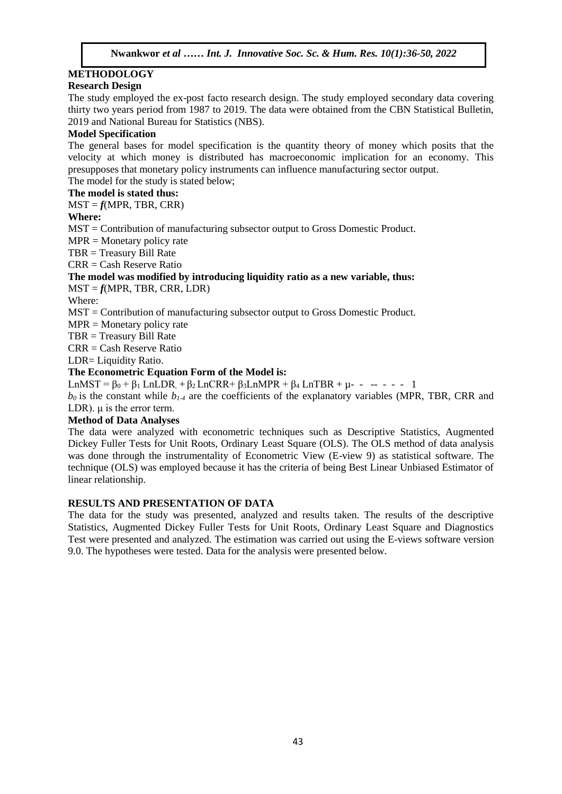#### **METHODOLOGY**  $\mathbf{A}$

### **Research Design**

The study employed the ex-post facto research design. The study employed secondary data covering thirty two years period from 1987 to 2019. The data were obtained from the CBN Statistical Bulletin, 2019 and National Bureau for Statistics (NBS).  $A$ <sup>1</sup>  $\alpha$  is a Mode social metric  $\alpha$  (1.1-1.).

### **Model Specification**

The general bases for model specification is the quantity theory of money which posits that the velocity at which money is distributed has macroeconomic implication for an economy. This presupposes that monetary policy instruments can influence manufacturing sector output. The model for the study is stated below;

### **The model is stated thus:**

 $MST = f(MPR, TBR, CRR)$ 

### **Where:**

MST = Contribution of manufacturing subsector output to Gross Domestic Product.

 $MPR = Monetary policy rate$ 

TBR = Treasury Bill Rate

 $CRR = Cash$  Reserve Ratio

### **The model was modified by introducing liquidity ratio as a new variable, thus:**

 $MST = f(MPR, TBR, CRR, LDR)$ 

Where:

MST = Contribution of manufacturing subsector output to Gross Domestic Product.

 $MPR = \text{Monetary policy rate}$ 

TBR = Treasury Bill Rate

CRR = Cash Reserve Ratio

LDR= Liquidity Ratio.

### **The Econometric Equation Form of the Model is:**

LnMST =  $\beta_0 + \beta_1$  LnLDR,  $+\beta_2$  LnCRR+  $\beta_3$ LnMPR +  $\beta_4$  LnTBR +  $\mu$ - - -- - - 1

 $b_0$  is the constant while  $b_1$ <sup>4</sup> are the coefficients of the explanatory variables (MPR, TBR, CRR and LDR).  $\mu$  is the error term.

### **Method of Data Analyses**

The data were analyzed with econometric techniques such as Descriptive Statistics, Augmented Dickey Fuller Tests for Unit Roots, Ordinary Least Square (OLS). The OLS method of data analysis was done through the instrumentality of Econometric View (E-view 9) as statistical software. The technique (OLS) was employed because it has the criteria of being Best Linear Unbiased Estimator of linear relationship.

### **RESULTS AND PRESENTATION OF DATA**

The data for the study was presented, analyzed and results taken. The results of the descriptive Statistics, Augmented Dickey Fuller Tests for Unit Roots, Ordinary Least Square and Diagnostics Test were presented and analyzed. The estimation was carried out using the E-views software version 9.0. The hypotheses were tested. Data for the analysis were presented below.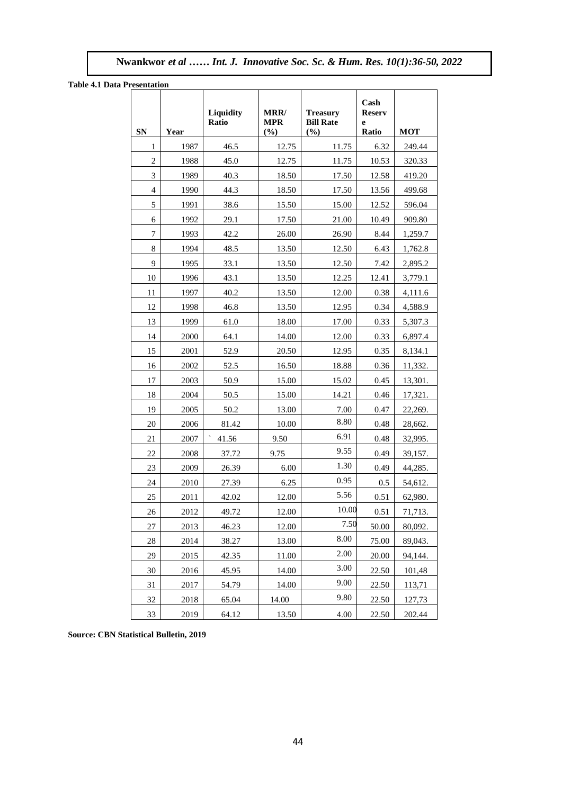**Nwankwor** *et al …… Int. J. Innovative Soc. Sc. & Hum. Res. 10(1):36-50, 2022*

**Table 4.1 Data Presentation**

| resentation    |      | <b>Liquidity</b><br>Ratio | <b>MRR/</b><br><b>MPR</b> | <b>Treasurv</b><br><b>Bill Rate</b> | Cash<br><b>Reserv</b><br>e |            |
|----------------|------|---------------------------|---------------------------|-------------------------------------|----------------------------|------------|
| SN             | Year |                           | (%)                       | (%)                                 | Ratio                      | <b>MOT</b> |
| 1              | 1987 | 46.5                      | 12.75                     | 11.75                               | 6.32                       | 249.44     |
| $\overline{2}$ | 1988 | 45.0                      | 12.75                     | 11.75                               | 10.53                      | 320.33     |
| 3              | 1989 | 40.3                      | 18.50                     | 17.50                               | 12.58                      | 419.20     |
| $\overline{4}$ | 1990 | 44.3                      | 18.50                     | 17.50                               | 13.56                      | 499.68     |
| 5              | 1991 | 38.6                      | 15.50                     | 15.00                               | 12.52                      | 596.04     |
| 6              | 1992 | 29.1                      | 17.50                     | 21.00                               | 10.49                      | 909.80     |
| $\overline{7}$ | 1993 | 42.2                      | 26.00                     | 26.90                               | 8.44                       | 1,259.7    |
| 8              | 1994 | 48.5                      | 13.50                     | 12.50                               | 6.43                       | 1,762.8    |
| 9              | 1995 | 33.1                      | 13.50                     | 12.50                               | 7.42                       | 2,895.2    |
| 10             | 1996 | 43.1                      | 13.50                     | 12.25                               | 12.41                      | 3,779.1    |
| 11             | 1997 | 40.2                      | 13.50                     | 12.00                               | 0.38                       | 4,111.6    |
| 12             | 1998 | 46.8                      | 13.50                     | 12.95                               | 0.34                       | 4,588.9    |
| 13             | 1999 | 61.0                      | 18.00                     | 17.00                               | 0.33                       | 5,307.3    |
| 14             | 2000 | 64.1                      | 14.00                     | 12.00                               | 0.33                       | 6,897.4    |
| 15             | 2001 | 52.9                      | 20.50                     | 12.95                               | 0.35                       | 8,134.1    |
| 16             | 2002 | 52.5                      | 16.50                     | 18.88                               | 0.36                       | 11,332.    |
| 17             | 2003 | 50.9                      | 15.00                     | 15.02                               | 0.45                       | 13,301.    |
| 18             | 2004 | 50.5                      | 15.00                     | 14.21                               | 0.46                       | 17,321.    |
| 19             | 2005 | 50.2                      | 13.00                     | 7.00                                | 0.47                       | 22,269.    |
| 20             | 2006 | 81.42                     | 10.00                     | 8.80                                | 0.48                       | 28,662.    |
| 21             | 2007 | 41.56                     | 9.50                      | 6.91                                | 0.48                       | 32,995.    |
| 22             | 2008 | 37.72                     | 9.75                      | 9.55                                | 0.49                       | 39,157.    |
| 23             | 2009 | 26.39                     | 6.00                      | 1.30                                | 0.49                       | 44,285.    |
| 24             | 2010 | 27.39                     | 6.25                      | 0.95                                | 0.5                        | 54,612.    |
| 25             | 2011 | 42.02                     | 12.00                     | 5.56                                | 0.51                       | 62,980.    |
| 26             | 2012 | 49.72                     | 12.00                     | 10.00                               | 0.51                       | 71,713.    |
| 27             | 2013 | 46.23                     | 12.00                     | 7.50                                | 50.00                      | 80,092.    |
| 28             | 2014 | 38.27                     | 13.00                     | 8.00                                | 75.00                      | 89,043.    |
| 29             | 2015 | 42.35                     | 11.00                     | 2.00                                | 20.00                      | 94,144.    |
| 30             | 2016 | 45.95                     | 14.00                     | 3.00                                | 22.50                      | 101,48     |
| 31             | 2017 | 54.79                     | 14.00                     | 9.00                                | 22.50                      | 113,71     |
| 32             | 2018 | 65.04                     | 14.00                     | 9.80                                | 22.50                      | 127,73     |
| 33             | 2019 | 64.12                     | 13.50                     | 4.00                                | 22.50                      | 202.44     |

**Source: CBN Statistical Bulletin, 2019**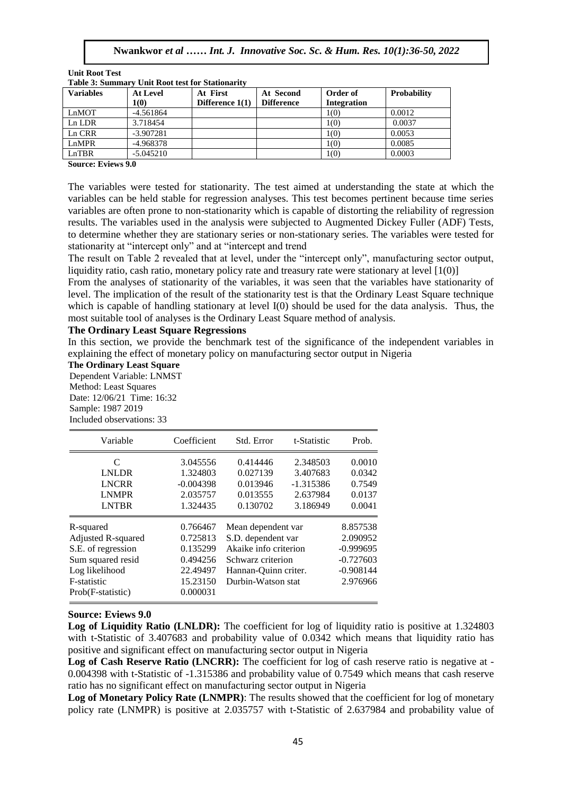| <b>Unit Root Test</b>                                   |  |
|---------------------------------------------------------|--|
| <b>Table 3: Summary Unit Root test for Stationarity</b> |  |

| <b>Variables</b> | <b>At Level</b> | At First          | At Second         | Order of    | <b>Probability</b> |
|------------------|-----------------|-------------------|-------------------|-------------|--------------------|
|                  | 1(0)            | Difference $1(1)$ | <b>Difference</b> | Integration |                    |
| LnMOT            | $-4.561864$     |                   |                   | 1(0)        | 0.0012             |
| Ln LDR           | 3.718454        |                   |                   | 1(0)        | 0.0037             |
| Ln CRR           | $-3.907281$     |                   |                   | 1(0)        | 0.0053             |
| LnMPR            | -4.968378       |                   |                   | 1(0)        | 0.0085             |
| LnTBR            | $-5.045210$     |                   |                   | 1(0)        | 0.0003             |

**Source: Eviews 9.0**

The variables were tested for stationarity. The test aimed at understanding the state at which the variables can be held stable for regression analyses. This test becomes pertinent because time series variables are often prone to non-stationarity which is capable of distorting the reliability of regression results. The variables used in the analysis were subjected to Augmented Dickey Fuller (ADF) Tests, tesuns. The variables used in the analysis were subjected to Augmented Dickey Puner (ADP) rests,<br>to determine whether they are stationary series or non-stationary series. The variables were tested for stationarity at "intercept only" and at "intercept and trend

The result on Table 2 revealed that at level, under the "intercept only", manufacturing sector output, liquidity ratio, cash ratio, monetary policy rate and treasury rate were stationary at level  $[1(0)]$ 

From the analyses of stationarity of the variables, it was seen that the variables have stationarity of level. The implication of the result of the stationarity test is that the Ordinary Least Square technique which is capable of handling stationary at level  $I(0)$  should be used for the data analysis. Thus, the most suitable tool of analyses is the Ordinary Least Square method of analysis.

### **The Ordinary Least Square Regressions**

In this section, we provide the benchmark test of the significance of the independent variables in explaining the effect of monetary policy on manufacturing sector output in Nigeria

**The Ordinary Least Square** 

Dependent Variable: LNMST Method: Least Squares Date: 12/06/21 Time: 16:32 Sample: 1987 2019 Included observations: 33

| Variable                  | Coefficient | Std. Error            | t-Statistic | Prob.       |
|---------------------------|-------------|-----------------------|-------------|-------------|
| C                         | 3.045556    | 0.414446              | 2.348503    | 0.0010      |
| <b>LNLDR</b>              | 1.324803    | 0.027139              | 3.407683    | 0.0342      |
| <b>LNCRR</b>              | $-0.004398$ | 0.013946              | $-1.315386$ | 0.7549      |
| <b>LNMPR</b>              | 2.035757    | 0.013555              | 2.637984    | 0.0137      |
| <b>LNTBR</b>              | 1.324435    | 0.130702              | 3.186949    | 0.0041      |
| R-squared                 | 0.766467    | Mean dependent var    |             | 8.857538    |
| <b>Adjusted R-squared</b> | 0.725813    | S.D. dependent var    |             | 2.090952    |
| S.E. of regression        | 0.135299    | Akaike info criterion |             | $-0.999695$ |
| Sum squared resid         | 0.494256    | Schwarz criterion     |             | $-0.727603$ |
| Log likelihood            | 22.49497    | Hannan-Quinn criter.  |             | $-0.908144$ |
| F-statistic               | 15.23150    | Durbin-Watson stat    |             | 2.976966    |
| Prob(F-statistic)         | 0.000031    |                       |             |             |

### **Source: Eviews 9.0**

Log of Liquidity Ratio (LNLDR): The coefficient for log of liquidity ratio is positive at 1.324803 with t-Statistic of 3.407683 and probability value of 0.0342 which means that liquidity ratio has positive and significant effect on manufacturing sector output in Nigeria

Log of Cash Reserve Ratio (LNCRR): The coefficient for log of cash reserve ratio is negative at -0.004398 with t-Statistic of -1.315386 and probability value of 0.7549 which means that cash reserve ratio has no significant effect on manufacturing sector output in Nigeria

**Log of Monetary Policy Rate (LNMPR)**: The results showed that the coefficient for log of monetary policy rate (LNMPR) is positive at 2.035757 with t-Statistic of 2.637984 and probability value of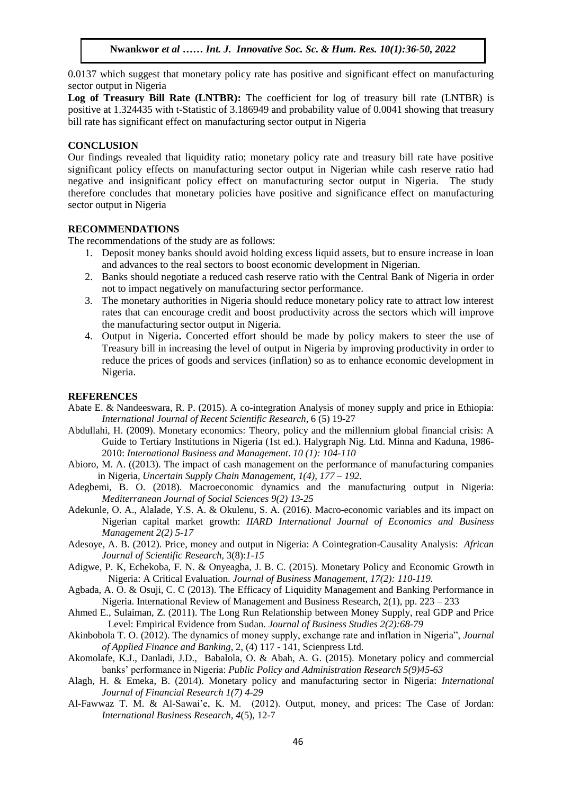0.0137 which suggest that monetary policy rate has positive and significant effect on manufacturing sector output in Nigeria

Log of Treasury Bill Rate (LNTBR): The coefficient for log of treasury bill rate (LNTBR) is positive at 1.324435 with t-Statistic of 3.186949 and probability value of 0.0041 showing that treasury bill rate has significant effect on manufacturing sector output in Nigeria

### **CONCLUSION**

CONCLUSION<br>Our findings revealed that liquidity ratio; monetary policy rate and treasury bill rate have positive significant policy effects on manufacturing sector output in Nigerian while cash reserve ratio had negative and insignificant policy effect on manufacturing sector output in Nigeria. The study negative and insignificant policy effect on manufacturing sector output in Nigeria. The study therefore concludes that monetary policies have positive and significance effect on manufacturing meterste concrete matematics and metersted matematics and expansion of the state of sector output in Nigeria

## **RECOMMENDATIONS**

The recommendations of the study are as follows:

- 1. Deposit money banks should avoid holding excess liquid assets, but to ensure increase in loan and advances to the real sectors to boost economic development in Nigerian.
- 2. Banks should negotiate a reduced cash reserve ratio with the Central Bank of Nigeria in order not to impact negatively on manufacturing sector performance.
- 3. The monetary authorities in Nigeria should reduce monetary policy rate to attract low interest rates that can encourage credit and boost productivity across the sectors which will improve the manufacturing sector output in Nigeria.
- 4. Output in Nigeria**.** Concerted effort should be made by policy makers to steer the use of Treasury bill in increasing the level of output in Nigeria by improving productivity in order to reduce the prices of goods and services (inflation) so as to enhance economic development in Nigeria.

### **REFERENCES**

- Abate E. & Nandeeswara, R. P. (2015). A co-integration Analysis of money supply and price in Ethiopia: *International Journal of Recent Scientific Research,* 6 (5) 19-27
- Abdullahi, H. (2009). Monetary economics: Theory, policy and the millennium global financial crisis: A Guide to Tertiary Institutions in Nigeria (1st ed.). Halygraph Nig. Ltd. Minna and Kaduna, 1986- 2010: *International Business and Management*. *10 (1): 104-110*
- Abioro, M. A. ((2013). The impact of cash management on the performance of manufacturing companies in Nigeria, *Uncertain Supply Chain Management*, *1(4), 177 – 192.*
- Adegbemi, B. O. (2018). Macroeconomic dynamics and the manufacturing output in Nigeria: *Mediterranean Journal of Social Sciences 9(2) 13-25*
- Adekunle, O. A., Alalade, Y.S. A. & Okulenu, S. A. (2016). Macro-economic variables and its impact on Nigerian capital market growth: *IIARD International Journal of Economics and Business Management 2(2) 5-17*
- Adesoye, A. B. (2012). Price, money and output in Nigeria: A Cointegration-Causality Analysis: *African Journal of Scientific Research,* 3(8):*1-15*
- Adigwe, P. K, Echekoba, F. N. & Onyeagba, J. B. C. (2015). Monetary Policy and Economic Growth in Nigeria: A Critical Evaluation. *Journal of Business Management, 17(2): 110-119.*
- Agbada, A. O. & Osuji, C. C (2013). The Efficacy of Liquidity Management and Banking Performance in Nigeria. International Review of Management and Business Research, 2(1), pp. 223 – 233
- Ahmed E., Sulaiman, Z. (2011). The Long Run Relationship between Money Supply, real GDP and Price Level: Empirical Evidence from Sudan. *Journal of Business Studies 2(2):68-79*
- Akinbobola T. O. (2012). The dynamics of money supply, exchange rate and inflation in Nigeria", *Journal of Applied Finance and Banking*, 2, (4) 117 - 141, Scienpress Ltd.
- Akomolafe, K.J., Danladi, J.D., Babalola, O. & Abah, A. G. (2015). Monetary policy and commercial banks' performance in Nigeria: *Public Policy and Administration Research 5(9)45-63*
- Alagh, H. & Emeka, B. (2014). Monetary policy and manufacturing sector in Nigeria: *International Journal of Financial Research 1(7) 4-29*
- Al-Fawwaz T. M. & Al-Sawai'e, K. M. (2012). Output, money, and prices: The Case of Jordan: *International Business Research, 4*(5), 12-7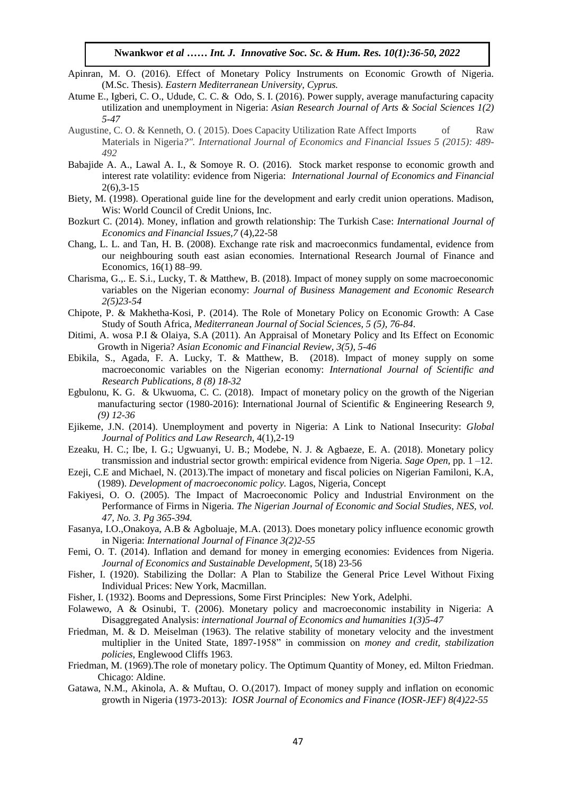- Apinran, M. O. (2016). Effect of Monetary Policy Instruments on Economic Growth of Nigeria. (M.Sc. Thesis). *Eastern Mediterranean University, Cyprus.*
- Atume E., Igberi, C. O., Udude, C. C. & Odo, S. I. (2016). Power supply, average manufacturing capacity mental and unemployment in Nigeria: *Asian Research Journal of Arts & Social Sciences 1(2) utilization and unemployment in Nigeria: Asian Research Journal of Arts & Social Sciences 1(2) 5-47*
- Augustine, C. O. & Kenneth, O. (2015). Does Capacity Utilization Rate Affect Imports of Raw Materials in Nigeria*?". International Journal of Economics and Financial Issues 5 (2015): 489- 492*
- Babajide A. A., Lawal A. I., & Somoye R. O. (2016). Stock market response to economic growth and interest rate volatility: evidence from Nigeria: *International Journal of Economics and Financial* 2(6),3-15
- Biety, M. (1998). Operational guide line for the development and early credit union operations. Madison,<br>Wis World Council of Credit Unions. Inc. Wis: World Council of Credit Unions, Inc.
- Bozkurt C. (2014). Money, inflation and growth relationship: The Turkish Case: *International Journal of Economics and Financial Issues,7* (4),22-58
- Chang, L. L. and Tan, H. B. (2008). Exchange rate risk and macroeconmics fundamental, evidence from our neighbouring south east asian economies. International Research Journal of Finance and Economics, 16(1) 88–99.
- Charisma, G.,. E. S.i., Lucky, T. & Matthew, B. (2018). Impact of money supply on some macroeconomic variables on the Nigerian economy: *Journal of Business Management and Economic Research 2(5)23-54*
- Chipote, P. & Makhetha-Kosi, P. (2014). The Role of Monetary Policy on Economic Growth: A Case Study of South Africa, *Mediterranean Journal of Social Sciences, 5 (5), 76-84*.
- Ditimi, A. wosa P.I & Olaiya, S.A (2011). An Appraisal of Monetary Policy and Its Effect on Economic Growth in Nigeria? *Asian Economic and Financial Review*, *3(5), 5-46*
- Ebikila, S., Agada, F. A. Lucky, T. & Matthew, B. (2018). Impact of money supply on some macroeconomic variables on the Nigerian economy: *International Journal of Scientific and Research Publications, 8 (8) 18-32*
- Egbulonu, K. G. & Ukwuoma, C. C. (2018). Impact of monetary policy on the growth of the Nigerian manufacturing sector (1980-2016): International Journal of Scientific & Engineering Research *9, (9) 12-36*
- Ejikeme, J.N. (2014). Unemployment and poverty in Nigeria: A Link to National Insecurity: *Global Journal of Politics and Law Research*, 4(1),2-19
- Ezeaku, H. C.; Ibe, I. G.; Ugwuanyi, U. B.; Modebe, N. J. & Agbaeze, E. A. (2018). Monetary policy transmission and industrial sector growth: empirical evidence from Nigeria. *Sage Open,* pp. 1 –12.
- Ezeji, C.E and Michael, N. (2013).The impact of monetary and fiscal policies on Nigerian Familoni, K.A, (1989). *Development of macroeconomic policy.* Lagos, Nigeria, Concept
- Fakiyesi, O. O. (2005). The Impact of Macroeconomic Policy and Industrial Environment on the Performance of Firms in Nigeria*. The Nigerian Journal of Economic and Social Studies, NES, vol. 47, No. 3. Pg 365-394.*
- Fasanya, I.O.,Onakoya, A.B & Agboluaje, M.A. (2013). Does monetary policy influence economic growth in Nigeria: *International Journal of Finance 3(2)2-55*
- Femi, O. T. (2014). Inflation and demand for money in emerging economies: Evidences from Nigeria. *Journal of Economics and Sustainable Development*, 5(18) 23-56
- Fisher, I. (1920). Stabilizing the Dollar: A Plan to Stabilize the General Price Level Without Fixing Individual Prices: New York, Macmillan.
- Fisher, I. (1932). Booms and Depressions, Some First Principles: New York, Adelphi.
- Folawewo, A & Osinubi, T. (2006). Monetary policy and macroeconomic instability in Nigeria: A Disaggregated Analysis: *international Journal of Economics and humanities 1(3)5-47*
- Friedman, M. & D. Meiselman (1963). The relative stability of monetary velocity and the investment multiplier in the United State, 1897-1958" in commission on *money and credit, stabilization policies*, Englewood Cliffs 1963.
- Friedman, M. (1969).The role of monetary policy. The Optimum Quantity of Money, ed. Milton Friedman. Chicago: Aldine.
- Gatawa, N.M., Akinola, A. & Muftau, O. O.(2017). Impact of money supply and inflation on economic growth in Nigeria (1973-2013): *IOSR Journal of Economics and Finance (IOSR-JEF) 8(4)22-55*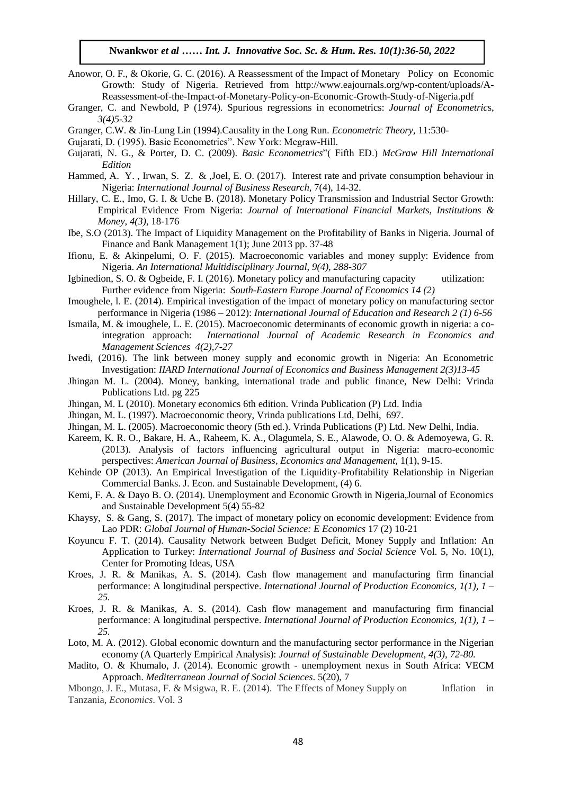- Anowor, O. F., & Okorie, G. C. (2016). A Reassessment of the Impact of Monetary Policy on Economic Growth: Study of Nigeria. Retrieved from http://www.eajournals.org/wp-content/uploads/A-Reassessment-of-the-Impact-of-Monetary-Policy-on-Economic-Growth-Study-of-Nigeria.pdf
- Reassessment-or-the-impact-or-wonetary-roncy-on-economic-Growth-Study-or-Nigeria.pdf<br>Granger, C. and Newbold, P (1974). Spurious regressions in econometrics: *Journal of Econometrics*, *3(4)5-32*
- Granger, C.W. & Jin-Lung Lin (1994).Causality in the Long Run. *Econometric Theory*, 11:530-
- Gujarati, D. (1995). Basic Econometrics". New York: Mcgraw-Hill.
- Gujarati, N. G., & Porter, D. C. (2009). *Basic Econometrics*" (Fifth ED.) McGraw Hill International *Edition*
- Hammed, A. Y., Irwan, S. Z. & ,Joel, E. O. (2017). Interest rate and private consumption behaviour in Nigeria: *International Journal of Business Research,* 7(4), 14-32.
- Hillary, C. E., Imo, G. I. & Uche B. (2018). Monetary Policy Transmission and Industrial Sector Growth: Empirical Evidence From Nigeria: *Journal of International Financial Markets, Institutions & Money*, *4(3)*, 18-176
- Ibe, S.O (2013). The Impact of Liquidity Management on the Profitability of Banks in Nigeria. Journal of Finance and Bank Management 1(1); June 2013 pp. 37-48
- Ifionu, E. & Akinpelumi, O. F. (2015). Macroeconomic variables and money supply: Evidence from Nigeria. *An International Multidisciplinary Journal*, *9(4), 288-307*
- Igbinedion, S. O. & Ogbeide, F. I. (2016). [Monetary policy and manufacturing capacity utilization:](javascript:void(0))  [Further evidence from Nigeria:](javascript:void(0)) *South-Eastern Europe Journal of Economics 14 (2)*
- Imoughele, l. E. (2014). Empirical investigation of the impact of monetary policy on manufacturing sector performance in Nigeria (1986 – 2012): *International Journal of Education and Research 2 (1) 6-56*
- Ismaila, M. & imoughele, L. E. (2015). Macroeconomic determinants of economic growth in nigeria: a cointegration approach: *International Journal of Academic Research in Economics and Management Sciences 4(2),7-27*
- Iwedi, (2016). The link between money supply and economic growth in Nigeria: An Econometric Investigation: *IIARD International Journal of Economics and Business Management 2(3)13-45*
- Jhingan M. L. (2004). Money, banking, international trade and public finance, New Delhi: Vrinda Publications Ltd. pg 225
- Jhingan, M. L (2010). Monetary economics 6th edition. Vrinda Publication (P) Ltd. India
- Jhingan, M. L. (1997). Macroeconomic theory, Vrinda publications Ltd, Delhi, 697.
- Jhingan, M. L. (2005). Macroeconomic theory (5th ed.). Vrinda Publications (P) Ltd. New Delhi, India.
- Kareem, K. R. O., Bakare, H. A., Raheem, K. A., Olagumela, S. E., Alawode, O. O. & Ademoyewa, G. R. (2013). Analysis of factors influencing agricultural output in Nigeria: macro-economic perspectives: *American Journal of Business, Economics and Management,* 1(1), 9-15.
- Kehinde OP (2013). An Empirical Investigation of the Liquidity-Profitability Relationship in Nigerian Commercial Banks. J. Econ. and Sustainable Development, (4) 6.
- Kemi, F. A. & Dayo B. O. (2014). Unemployment and Economic Growth in Nigeria,Journal of Economics and Sustainable Development 5(4) 55-82
- Khaysy, S. & Gang, S. (2017). The impact of monetary policy on economic development: Evidence from Lao PDR: *Global Journal of Human-Social Science: E Economics* 17 (2) 10-21
- Koyuncu F. T. (2014). Causality Network between Budget Deficit, Money Supply and Inflation: An Application to Turkey: *International Journal of Business and Social Science* Vol. 5, No. 10(1), Center for Promoting Ideas, USA
- Kroes, J. R. & Manikas, A. S. (2014). Cash flow management and manufacturing firm financial performance: A longitudinal perspective. *International Journal of Production Economics, 1(1), 1 – 25.*
- Kroes, J. R. & Manikas, A. S. (2014). Cash flow management and manufacturing firm financial performance: A longitudinal perspective. *International Journal of Production Economics, 1(1), 1 – 25.*
- Loto, M. A. (2012). Global economic downturn and the manufacturing sector performance in the Nigerian economy (A Quarterly Empirical Analysis): *Journal of Sustainable Development, 4(3), 72-80.*
- Madito, O. & Khumalo, J. (2014). Economic growth unemployment nexus in South Africa: VECM Approach. *Mediterranean Journal of Social Sciences*. 5(20), 7

Mbongo, J. E., Mutasa, F. & Msigwa, R. E. (2014). The Effects of Money Supply on Inflation in Tanzania, *Economics*. Vol. 3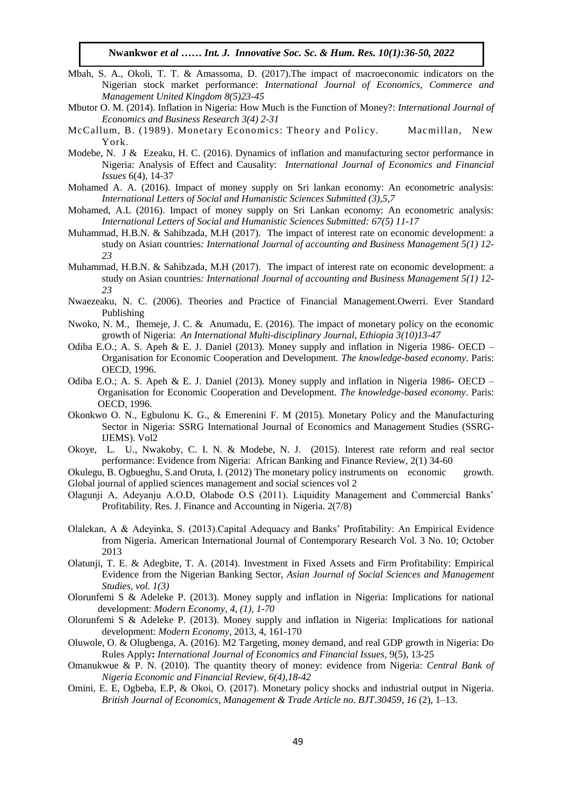- Mbah, S. A., Okoli, T. T. & Amassoma, D. (2017). The impact of macroeconomic indicators on the Nigerian stock market performance: *International Journal of Economics, Commerce and Management United Kingdom 8(5)23-45*
- Mbutor O. M. (2014). Inflation in Nigeria: How Much is the Function of Money?: *International Journal of Economics and Business Research 3(4) 2-31*
- McCallum, B. (1989). Monetary Economics: Theory and Policy. Macmillan, New York.
- Modebe, N. J & Ezeaku, H. C. (2016). Dynamics of inflation and manufacturing sector performance in Nigeria: Analysis of Effect and Causality: *International Journal of Economics and Financial Issues* 6(4), 14-37  $\frac{286(4)}{11}$ ,  $\frac{14-3}{11}$
- Mohamed A. A. (2016). Impact of money supply on Sri lankan economy: An econometric analysis: *International Letters of Social and Humanistic Sciences Submitted (3),5,7*
- mermational Letters of Social and Tramanistic Sciences Salomitted (5), 5,77<br>Mohamed, A.L. (2016). Impact of money supply on Sri Lankan economy: An econometric analysis: *International Letters of Social and Humanistic Sciences Submitted: 67(5) 11-17*
- Muhammad, H.B.N. & Sahibzada, M.H (2017). The impact of interest rate on economic development: a study on Asian countries*: International Journal of accounting and Business Management 5(1) 12- 23*
- Muhammad, H.B.N. & Sahibzada, M.H (2017). The impact of interest rate on economic development: a study on Asian countries*: International Journal of accounting and Business Management 5(1) 12- 23*
- Nwaezeaku, N. C. (2006). Theories and Practice of Financial Management.Owerri. Ever Standard Publishing
- Nwoko, N. M., Ihemeje, J. C. & Anumadu, E. (2016). The impact of monetary policy on the economic growth of Nigeria: *An International Multi-disciplinary Journal, Ethiopia 3(10)13-47*
- Odiba E.O.; A. S. Apeh & E. J. Daniel (2013). Money supply and inflation in Nigeria 1986- OECD Organisation for Economic Cooperation and Development. *The knowledge-based economy*. Paris: OECD, 1996.
- Odiba E.O.; A. S. Apeh & E. J. Daniel (2013). Money supply and inflation in Nigeria 1986- OECD Organisation for Economic Cooperation and Development. *The knowledge-based economy*. Paris: OECD, 1996.
- Okonkwo O. N., Egbulonu K. G., & Emerenini F. M (2015). Monetary Policy and the Manufacturing Sector in Nigeria: SSRG International Journal of Economics and Management Studies (SSRG-IJEMS). Vol2
- Okoye, L. U., Nwakoby, C. I. N. & Modebe, N. J. (2015). Interest rate reform and real sector performance: Evidence from Nigeria: African Banking and Finance Review, 2(1) 34-60
- Okulegu, B. Ogbueghu, S.and Oruta, I. (2012) The monetary policy instruments on economic growth. Global journal of applied sciences management and social sciences vol 2
- Olagunji A, Adeyanju A.O.D, Olabode O.S (2011). Liquidity Management and Commercial Banks' Profitability. Res. J. Finance and Accounting in Nigeria. 2(7/8)
- Olalekan, A & Adeyinka, S. (2013).Capital Adequacy and Banks' Profitability: An Empirical Evidence from Nigeria. American International Journal of Contemporary Research Vol. 3 No. 10; October 2013
- Olatunji, T. E. & Adegbite, T. A. (2014). [Investment in Fixed Assets and Firm Profitability: Empirical](https://ideas.repec.org/a/aoj/ajssms/2014p78-82.html)  [Evidence from the Nigerian Banking Sector,](https://ideas.repec.org/a/aoj/ajssms/2014p78-82.html) *[Asian Journal of Social Sciences and Management](https://ideas.repec.org/s/aoj/ajssms.html)  [Studies,](https://ideas.repec.org/s/aoj/ajssms.html) vol. 1(3)*
- Olorunfemi S & Adeleke P. (2013). Money supply and inflation in Nigeria: Implications for national development: *Modern Economy*, *4, (1), 1-70*
- Olorunfemi S & Adeleke P. (2013). Money supply and inflation in Nigeria: Implications for national development: *Modern Economy*, 2013, 4, 161-170
- Oluwole, O. & Olugbenga, A. (2016). M2 Targeting, money demand, and real GDP growth in Nigeria: Do Rules Apply**:** *International Journal of Economics and Financial Issues,* 9(5), 13-25
- Omanukwue & P. N. (2010). The quantity theory of money: evidence from Nigeria: *Central Bank of Nigeria Economic and Financial Review, 6(4),18-42*
- Omini, E. E, Ogbeba, E.P, & Okoi, O. (2017). Monetary policy shocks and industrial output in Nigeria. *British Journal of Economics, Management & Trade Article no. BJT.30459*, *16* (2), 1–13.